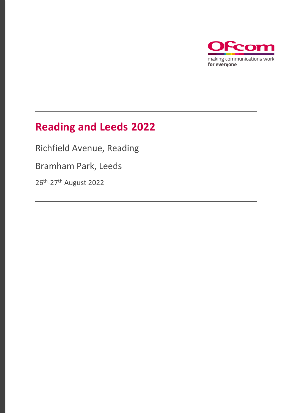

## **Reading and Leeds 2022**

Richfield Avenue, Reading

Bramham Park, Leeds

26th -27th August 2022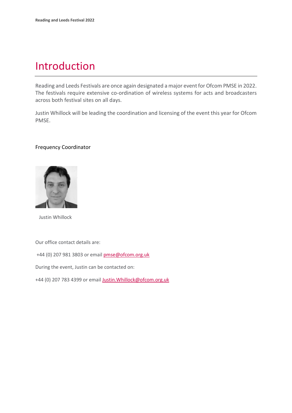### Introduction

Reading and Leeds Festivals are once again designated a major event for Ofcom PMSE in 2022. The festivals require extensive co-ordination of wireless systems for acts and broadcasters across both festival sites on all days.

Justin Whillock will be leading the coordination and licensing of the event this year for Ofcom PMSE.

#### Frequency Coordinator



Justin Whillock

Our office contact details are:

+44 (0) 207 981 3803 or emai[l pmse@ofcom.org.uk](mailto:pmse@ofcom.org.uk)

During the event, Justin can be contacted on:

+44 (0) 207 783 4399 or email [Justin.Whillock@ofcom.org.uk](mailto:Justin.Whillock@ofcom.org.uk)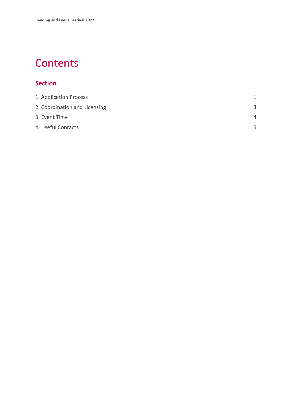## **Contents**

#### **Section**

| 1. Application Process        | 1        |
|-------------------------------|----------|
| 2. Coordination and Licensing | 3        |
| 3. Event Time                 | $\Delta$ |
| 4. Useful Contacts            | 5        |
|                               |          |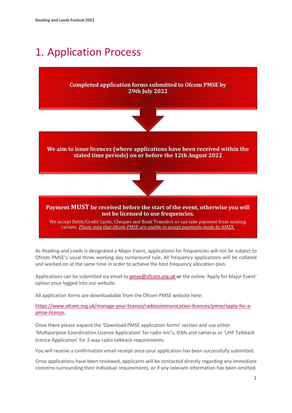## <span id="page-3-0"></span>1. Application Process

#### **Completed application forms submitted to Ofcom PMSE by 29th July 2022**



#### **We aim to issue licences (where applications have been received within the stated time periods) on or before the 12th August 2022**



#### **Payment MUST be received before the start of the event, otherwise you will not be licensed to use frequencies.**

We accept Debit/Credit Cards, Cheques and Bank Transfers or can take payment from existing carnets. *Please note that Ofcom PMSE are unable to accept payments made by AMEX.*

As Reading and Leeds is designated a Major Event, applications for frequencies will not be subject to Ofcom PMSE's usual three working day turnaround rule. All frequency applications will be collated and worked on at the same time in order to achieve the best frequency allocation plan.

Applications can be submitted via email t[o pmse@ofcom.org.uk](mailto:pmse@ofcom.org.uk) or the online 'Apply for Major Event' option once logged into our website.

All application forms are downloadable from the Ofcom PMSE website here:

[https://www.ofcom.org.uk/manage-your-licence/radiocommunication-licences/pmse/apply-for-a](https://www.ofcom.org.uk/manage-your-licence/radiocommunication-licences/pmse/apply-for-a-pmse-licence)[pmse-licence.](https://www.ofcom.org.uk/manage-your-licence/radiocommunication-licences/pmse/apply-for-a-pmse-licence)

Once there please expand the 'Download PMSE application forms' section and use either 'Multipurpose Coordination Licence Application' for radio mic's, IEMs and cameras or 'UHF Talkback licence Application' for 2-way radio talkback requirements.

You will receive a confirmation email receipt once your application has been successfully submitted.

Once applications have been reviewed, applicants will be contacted directly regarding any immediate concerns surrounding their individual requirements, or if any relevant information has been omitted.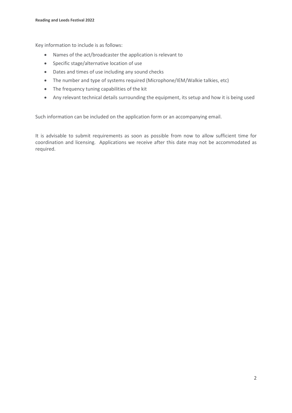Key information to include is as follows:

- Names of the act/broadcaster the application is relevant to
- Specific stage/alternative location of use
- Dates and times of use including any sound checks
- The number and type of systems required (Microphone/IEM/Walkie talkies, etc)
- The frequency tuning capabilities of the kit
- Any relevant technical details surrounding the equipment, its setup and how it is being used

Such information can be included on the application form or an accompanying email.

It is advisable to submit requirements as soon as possible from now to allow sufficient time for coordination and licensing. Applications we receive after this date may not be accommodated as required.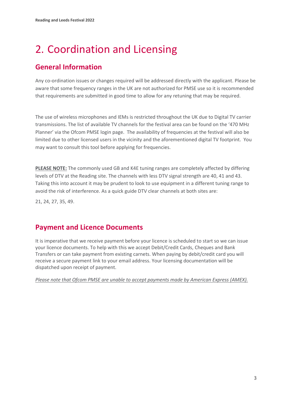# <span id="page-5-0"></span>2. Coordination and Licensing

### **General Information**

Any co-ordination issues or changes required will be addressed directly with the applicant. Please be aware that some frequency ranges in the UK are not authorized for PMSE use so it is recommended that requirements are submitted in good time to allow for any retuning that may be required.

The use of wireless microphones and IEMs is restricted throughout the UK due to Digital TV carrier transmissions. The list of available TV channels for the festival area can be found on the '470 MHz Planner' via the Ofcom PMSE login page. The availability of frequencies at the festival will also be limited due to other licensed users in the vicinity and the aforementioned digital TV footprint. You may want to consult this tool before applying for frequencies.

**PLEASE NOTE:** The commonly used GB and K4E tuning ranges are completely affected by differing levels of DTV at the Reading site. The channels with less DTV signal strength are 40, 41 and 43. Taking this into account it may be prudent to look to use equipment in a different tuning range to avoid the risk of interference. As a quick guide DTV clear channels at both sites are:

21, 24, 27, 35, 49.

### **Payment and Licence Documents**

It is imperative that we receive payment before your licence is scheduled to start so we can issue your licence documents. To help with this we accept Debit/Credit Cards, Cheques and Bank Transfers or can take payment from existing carnets. When paying by debit/credit card you will receive a secure payment link to your email address. Your licensing documentation will be dispatched upon receipt of payment.

*Please note that Ofcom PMSE are unable to accept payments made by American Express (AMEX).*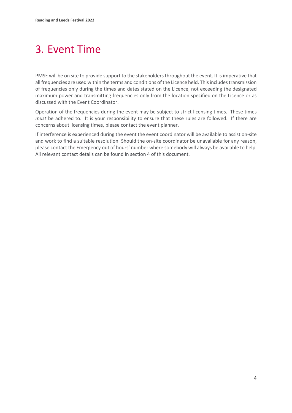# <span id="page-6-0"></span>3. Event Time

PMSE will be on site to provide support to the stakeholders throughout the event. It is imperative that all frequencies are used within the terms and conditions of the Licence held. This includes transmission of frequencies only during the times and dates stated on the Licence, not exceeding the designated maximum power and transmitting frequencies only from the location specified on the Licence or as discussed with the Event Coordinator.

Operation of the frequencies during the event may be subject to strict licensing times. These times *must* be adhered to. It is your responsibility to ensure that these rules are followed. If there are concerns about licensing times, please contact the event planner.

If interference is experienced during the event the event coordinator will be available to assist on-site and work to find a suitable resolution. Should the on-site coordinator be unavailable for any reason, please contact the Emergency out of hours' number where somebody will always be available to help. All relevant contact details can be found in section 4 of this document.